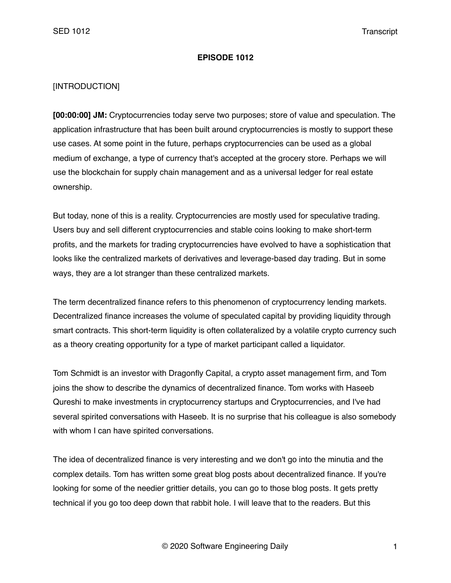### **EPISODE 1012**

# [INTRODUCTION]

**[00:00:00] JM:** Cryptocurrencies today serve two purposes; store of value and speculation. The application infrastructure that has been built around cryptocurrencies is mostly to support these use cases. At some point in the future, perhaps cryptocurrencies can be used as a global medium of exchange, a type of currency that's accepted at the grocery store. Perhaps we will use the blockchain for supply chain management and as a universal ledger for real estate ownership.

But today, none of this is a reality. Cryptocurrencies are mostly used for speculative trading. Users buy and sell different cryptocurrencies and stable coins looking to make short-term profits, and the markets for trading cryptocurrencies have evolved to have a sophistication that looks like the centralized markets of derivatives and leverage-based day trading. But in some ways, they are a lot stranger than these centralized markets.

The term decentralized finance refers to this phenomenon of cryptocurrency lending markets. Decentralized finance increases the volume of speculated capital by providing liquidity through smart contracts. This short-term liquidity is often collateralized by a volatile crypto currency such as a theory creating opportunity for a type of market participant called a liquidator.

Tom Schmidt is an investor with Dragonfly Capital, a crypto asset management firm, and Tom joins the show to describe the dynamics of decentralized finance. Tom works with Haseeb Qureshi to make investments in cryptocurrency startups and Cryptocurrencies, and I've had several spirited conversations with Haseeb. It is no surprise that his colleague is also somebody with whom I can have spirited conversations.

The idea of decentralized finance is very interesting and we don't go into the minutia and the complex details. Tom has written some great blog posts about decentralized finance. If you're looking for some of the needier grittier details, you can go to those blog posts. It gets pretty technical if you go too deep down that rabbit hole. I will leave that to the readers. But this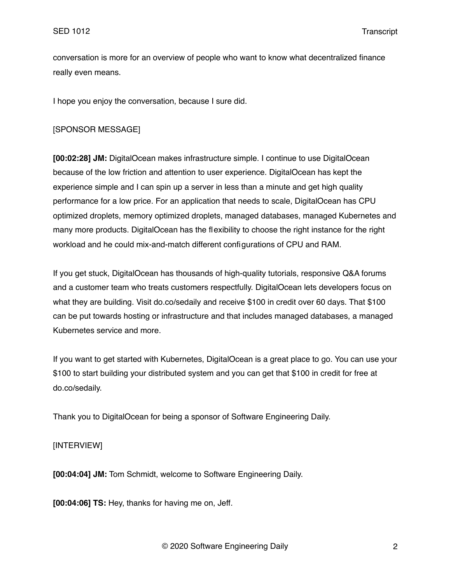conversation is more for an overview of people who want to know what decentralized finance really even means.

I hope you enjoy the conversation, because I sure did.

### [SPONSOR MESSAGE]

**[00:02:28] JM:** DigitalOcean makes infrastructure simple. I continue to use DigitalOcean because of the low friction and attention to user experience. DigitalOcean has kept the experience simple and I can spin up a server in less than a minute and get high quality performance for a low price. For an application that needs to scale, DigitalOcean has CPU optimized droplets, memory optimized droplets, managed databases, managed Kubernetes and many more products. DigitalOcean has the flexibility to choose the right instance for the right workload and he could mix-and-match different configurations of CPU and RAM.

If you get stuck, DigitalOcean has thousands of high-quality tutorials, responsive Q&A forums and a customer team who treats customers respectfully. DigitalOcean lets developers focus on what they are building. Visit do.co/sedaily and receive \$100 in credit over 60 days. That \$100 can be put towards hosting or infrastructure and that includes managed databases, a managed Kubernetes service and more.

If you want to get started with Kubernetes, DigitalOcean is a great place to go. You can use your \$100 to start building your distributed system and you can get that \$100 in credit for free at do.co/sedaily.

Thank you to DigitalOcean for being a sponsor of Software Engineering Daily.

## [INTERVIEW]

**[00:04:04] JM:** Tom Schmidt, welcome to Software Engineering Daily.

**[00:04:06] TS:** Hey, thanks for having me on, Jeff.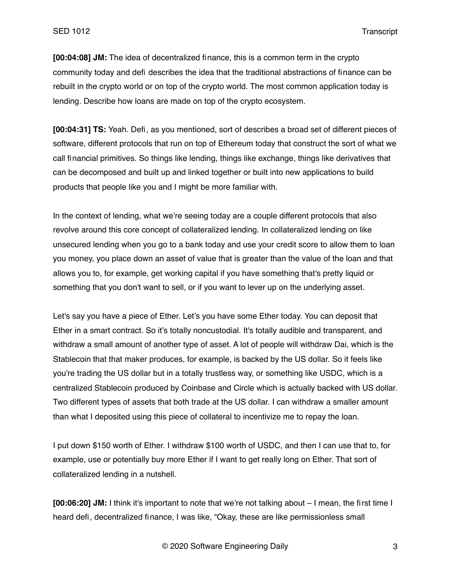**[00:04:08] JM:** The idea of decentralized finance, this is a common term in the crypto community today and defi describes the idea that the traditional abstractions of finance can be rebuilt in the crypto world or on top of the crypto world. The most common application today is lending. Describe how loans are made on top of the crypto ecosystem.

**[00:04:31] TS:** Yeah. Defi, as you mentioned, sort of describes a broad set of different pieces of software, different protocols that run on top of Ethereum today that construct the sort of what we call financial primitives. So things like lending, things like exchange, things like derivatives that can be decomposed and built up and linked together or built into new applications to build products that people like you and I might be more familiar with.

In the context of lending, what we're seeing today are a couple different protocols that also revolve around this core concept of collateralized lending. In collateralized lending on like unsecured lending when you go to a bank today and use your credit score to allow them to loan you money, you place down an asset of value that is greater than the value of the loan and that allows you to, for example, get working capital if you have something that's pretty liquid or something that you don't want to sell, or if you want to lever up on the underlying asset.

Let's say you have a piece of Ether. Let's you have some Ether today. You can deposit that Ether in a smart contract. So it's totally noncustodial. It's totally audible and transparent, and withdraw a small amount of another type of asset. A lot of people will withdraw Dai, which is the Stablecoin that that maker produces, for example, is backed by the US dollar. So it feels like you're trading the US dollar but in a totally trustless way, or something like USDC, which is a centralized Stablecoin produced by Coinbase and Circle which is actually backed with US dollar. Two different types of assets that both trade at the US dollar. I can withdraw a smaller amount than what I deposited using this piece of collateral to incentivize me to repay the loan.

I put down \$150 worth of Ether. I withdraw \$100 worth of USDC, and then I can use that to, for example, use or potentially buy more Ether if I want to get really long on Ether. That sort of collateralized lending in a nutshell.

**[00:06:20] JM:** I think it's important to note that we're not talking about – I mean, the first time I heard defi, decentralized finance, I was like, "Okay, these are like permissionless small

© 2020 Software Engineering Daily 3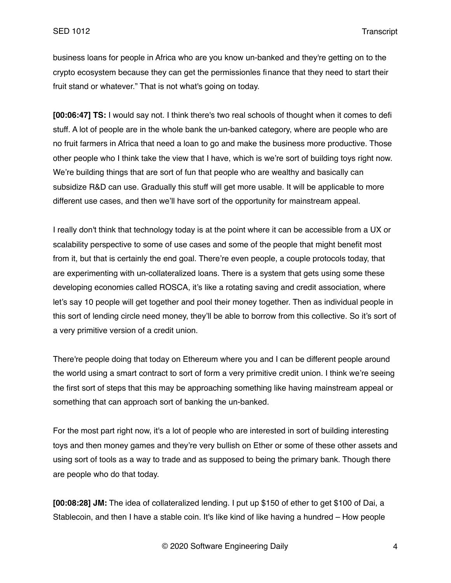business loans for people in Africa who are you know un-banked and they're getting on to the crypto ecosystem because they can get the permissionles finance that they need to start their fruit stand or whatever." That is not what's going on today.

**[00:06:47] TS:** I would say not. I think there's two real schools of thought when it comes to defi stuff. A lot of people are in the whole bank the un-banked category, where are people who are no fruit farmers in Africa that need a loan to go and make the business more productive. Those other people who I think take the view that I have, which is we're sort of building toys right now. We're building things that are sort of fun that people who are wealthy and basically can subsidize R&D can use. Gradually this stuff will get more usable. It will be applicable to more different use cases, and then we'll have sort of the opportunity for mainstream appeal.

I really don't think that technology today is at the point where it can be accessible from a UX or scalability perspective to some of use cases and some of the people that might benefit most from it, but that is certainly the end goal. There're even people, a couple protocols today, that are experimenting with un-collateralized loans. There is a system that gets using some these developing economies called ROSCA, it's like a rotating saving and credit association, where let's say 10 people will get together and pool their money together. Then as individual people in this sort of lending circle need money, they'll be able to borrow from this collective. So it's sort of a very primitive version of a credit union.

There're people doing that today on Ethereum where you and I can be different people around the world using a smart contract to sort of form a very primitive credit union. I think we're seeing the first sort of steps that this may be approaching something like having mainstream appeal or something that can approach sort of banking the un-banked.

For the most part right now, it's a lot of people who are interested in sort of building interesting toys and then money games and they're very bullish on Ether or some of these other assets and using sort of tools as a way to trade and as supposed to being the primary bank. Though there are people who do that today.

**[00:08:28] JM:** The idea of collateralized lending. I put up \$150 of ether to get \$100 of Dai, a Stablecoin, and then I have a stable coin. It's like kind of like having a hundred – How people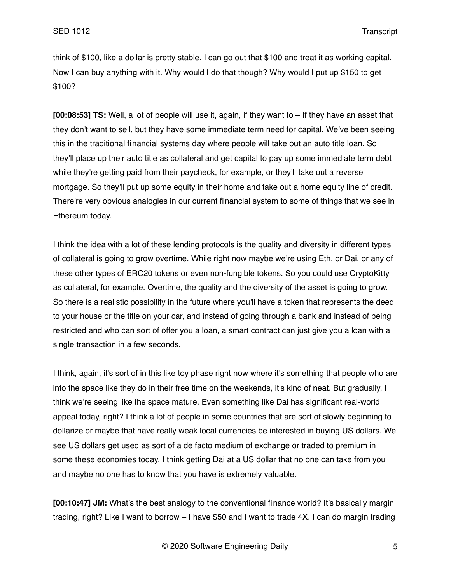think of \$100, like a dollar is pretty stable. I can go out that \$100 and treat it as working capital. Now I can buy anything with it. Why would I do that though? Why would I put up \$150 to get \$100?

**[00:08:53] TS:** Well, a lot of people will use it, again, if they want to – If they have an asset that they don't want to sell, but they have some immediate term need for capital. We've been seeing this in the traditional financial systems day where people will take out an auto title loan. So they'll place up their auto title as collateral and get capital to pay up some immediate term debt while they're getting paid from their paycheck, for example, or they'll take out a reverse mortgage. So they'll put up some equity in their home and take out a home equity line of credit. There're very obvious analogies in our current financial system to some of things that we see in Ethereum today.

I think the idea with a lot of these lending protocols is the quality and diversity in different types of collateral is going to grow overtime. While right now maybe we're using Eth, or Dai, or any of these other types of ERC20 tokens or even non-fungible tokens. So you could use CryptoKitty as collateral, for example. Overtime, the quality and the diversity of the asset is going to grow. So there is a realistic possibility in the future where you'll have a token that represents the deed to your house or the title on your car, and instead of going through a bank and instead of being restricted and who can sort of offer you a loan, a smart contract can just give you a loan with a single transaction in a few seconds.

I think, again, it's sort of in this like toy phase right now where it's something that people who are into the space like they do in their free time on the weekends, it's kind of neat. But gradually, I think we're seeing like the space mature. Even something like Dai has significant real-world appeal today, right? I think a lot of people in some countries that are sort of slowly beginning to dollarize or maybe that have really weak local currencies be interested in buying US dollars. We see US dollars get used as sort of a de facto medium of exchange or traded to premium in some these economies today. I think getting Dai at a US dollar that no one can take from you and maybe no one has to know that you have is extremely valuable.

**[00:10:47] JM:** What's the best analogy to the conventional finance world? It's basically margin trading, right? Like I want to borrow – I have \$50 and I want to trade 4X. I can do margin trading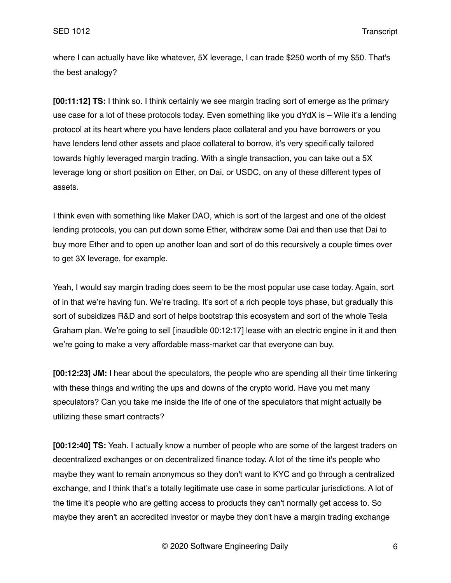where I can actually have like whatever, 5X leverage, I can trade \$250 worth of my \$50. That's the best analogy?

**[00:11:12] TS:** I think so. I think certainly we see margin trading sort of emerge as the primary use case for a lot of these protocols today. Even something like you dYdX is – Wile it's a lending protocol at its heart where you have lenders place collateral and you have borrowers or you have lenders lend other assets and place collateral to borrow, it's very specifically tailored towards highly leveraged margin trading. With a single transaction, you can take out a 5X leverage long or short position on Ether, on Dai, or USDC, on any of these different types of assets.

I think even with something like Maker DAO, which is sort of the largest and one of the oldest lending protocols, you can put down some Ether, withdraw some Dai and then use that Dai to buy more Ether and to open up another loan and sort of do this recursively a couple times over to get 3X leverage, for example.

Yeah, I would say margin trading does seem to be the most popular use case today. Again, sort of in that we're having fun. We're trading. It's sort of a rich people toys phase, but gradually this sort of subsidizes R&D and sort of helps bootstrap this ecosystem and sort of the whole Tesla Graham plan. We're going to sell [inaudible 00:12:17] lease with an electric engine in it and then we're going to make a very affordable mass-market car that everyone can buy.

**[00:12:23] JM:** I hear about the speculators, the people who are spending all their time tinkering with these things and writing the ups and downs of the crypto world. Have you met many speculators? Can you take me inside the life of one of the speculators that might actually be utilizing these smart contracts?

**[00:12:40] TS:** Yeah. I actually know a number of people who are some of the largest traders on decentralized exchanges or on decentralized finance today. A lot of the time it's people who maybe they want to remain anonymous so they don't want to KYC and go through a centralized exchange, and I think that's a totally legitimate use case in some particular jurisdictions. A lot of the time it's people who are getting access to products they can't normally get access to. So maybe they aren't an accredited investor or maybe they don't have a margin trading exchange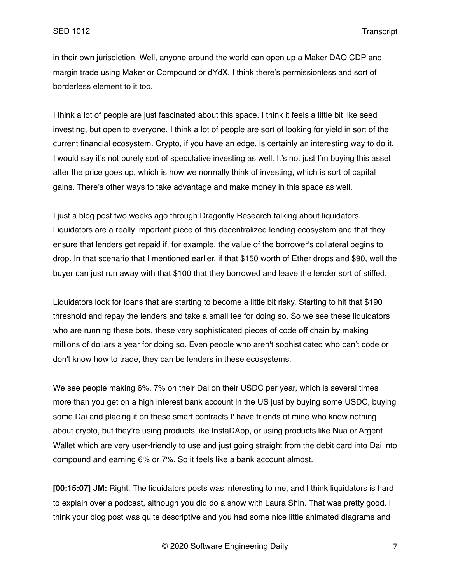in their own jurisdiction. Well, anyone around the world can open up a Maker DAO CDP and margin trade using Maker or Compound or dYdX. I think there's permissionless and sort of borderless element to it too.

I think a lot of people are just fascinated about this space. I think it feels a little bit like seed investing, but open to everyone. I think a lot of people are sort of looking for yield in sort of the current financial ecosystem. Crypto, if you have an edge, is certainly an interesting way to do it. I would say it's not purely sort of speculative investing as well. It's not just I'm buying this asset after the price goes up, which is how we normally think of investing, which is sort of capital gains. There's other ways to take advantage and make money in this space as well.

I just a blog post two weeks ago through Dragonfly Research talking about liquidators. Liquidators are a really important piece of this decentralized lending ecosystem and that they ensure that lenders get repaid if, for example, the value of the borrower's collateral begins to drop. In that scenario that I mentioned earlier, if that \$150 worth of Ether drops and \$90, well the buyer can just run away with that \$100 that they borrowed and leave the lender sort of stiffed.

Liquidators look for loans that are starting to become a little bit risky. Starting to hit that \$190 threshold and repay the lenders and take a small fee for doing so. So we see these liquidators who are running these bots, these very sophisticated pieces of code off chain by making millions of dollars a year for doing so. Even people who aren't sophisticated who can't code or don't know how to trade, they can be lenders in these ecosystems.

We see people making 6%, 7% on their Dai on their USDC per year, which is several times more than you get on a high interest bank account in the US just by buying some USDC, buying some Dai and placing it on these smart contracts I' have friends of mine who know nothing about crypto, but they're using products like InstaDApp, or using products like Nua or Argent Wallet which are very user-friendly to use and just going straight from the debit card into Dai into compound and earning 6% or 7%. So it feels like a bank account almost.

**[00:15:07] JM:** Right. The liquidators posts was interesting to me, and I think liquidators is hard to explain over a podcast, although you did do a show with Laura Shin. That was pretty good. I think your blog post was quite descriptive and you had some nice little animated diagrams and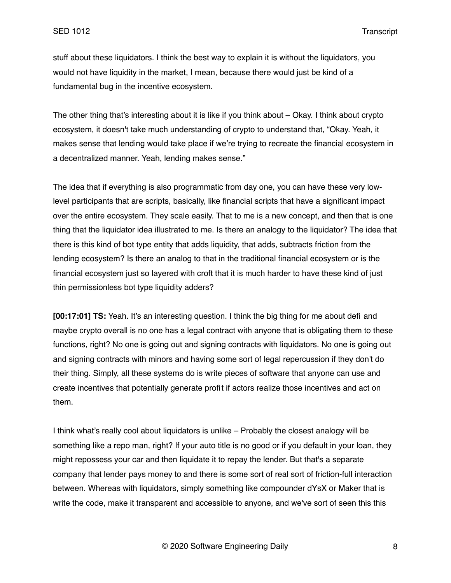stuff about these liquidators. I think the best way to explain it is without the liquidators, you would not have liquidity in the market, I mean, because there would just be kind of a fundamental bug in the incentive ecosystem.

The other thing that's interesting about it is like if you think about – Okay. I think about crypto ecosystem, it doesn't take much understanding of crypto to understand that, "Okay. Yeah, it makes sense that lending would take place if we're trying to recreate the financial ecosystem in a decentralized manner. Yeah, lending makes sense."

The idea that if everything is also programmatic from day one, you can have these very lowlevel participants that are scripts, basically, like financial scripts that have a significant impact over the entire ecosystem. They scale easily. That to me is a new concept, and then that is one thing that the liquidator idea illustrated to me. Is there an analogy to the liquidator? The idea that there is this kind of bot type entity that adds liquidity, that adds, subtracts friction from the lending ecosystem? Is there an analog to that in the traditional financial ecosystem or is the financial ecosystem just so layered with croft that it is much harder to have these kind of just thin permissionless bot type liquidity adders?

**[00:17:01] TS:** Yeah. It's an interesting question. I think the big thing for me about defi and maybe crypto overall is no one has a legal contract with anyone that is obligating them to these functions, right? No one is going out and signing contracts with liquidators. No one is going out and signing contracts with minors and having some sort of legal repercussion if they don't do their thing. Simply, all these systems do is write pieces of software that anyone can use and create incentives that potentially generate profit if actors realize those incentives and act on them.

I think what's really cool about liquidators is unlike – Probably the closest analogy will be something like a repo man, right? If your auto title is no good or if you default in your loan, they might repossess your car and then liquidate it to repay the lender. But that's a separate company that lender pays money to and there is some sort of real sort of friction-full interaction between. Whereas with liquidators, simply something like compounder dYsX or Maker that is write the code, make it transparent and accessible to anyone, and we've sort of seen this this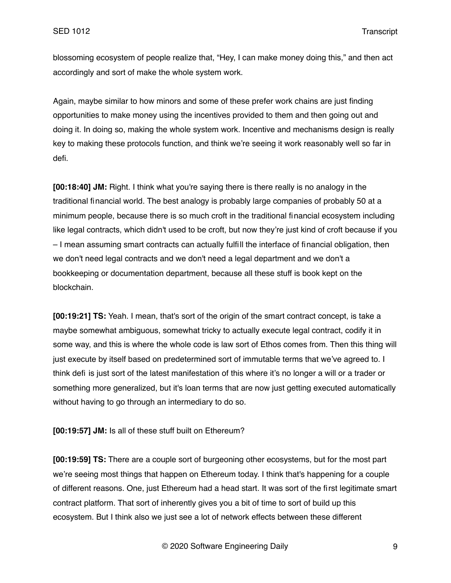blossoming ecosystem of people realize that, "Hey, I can make money doing this," and then act accordingly and sort of make the whole system work.

Again, maybe similar to how minors and some of these prefer work chains are just finding opportunities to make money using the incentives provided to them and then going out and doing it. In doing so, making the whole system work. Incentive and mechanisms design is really key to making these protocols function, and think we're seeing it work reasonably well so far in defi.

**[00:18:40] JM:** Right. I think what you're saying there is there really is no analogy in the traditional financial world. The best analogy is probably large companies of probably 50 at a minimum people, because there is so much croft in the traditional financial ecosystem including like legal contracts, which didn't used to be croft, but now they're just kind of croft because if you – I mean assuming smart contracts can actually fulfill the interface of financial obligation, then we don't need legal contracts and we don't need a legal department and we don't a bookkeeping or documentation department, because all these stuff is book kept on the blockchain.

**[00:19:21] TS:** Yeah. I mean, that's sort of the origin of the smart contract concept, is take a maybe somewhat ambiguous, somewhat tricky to actually execute legal contract, codify it in some way, and this is where the whole code is law sort of Ethos comes from. Then this thing will just execute by itself based on predetermined sort of immutable terms that we've agreed to. I think defi is just sort of the latest manifestation of this where it's no longer a will or a trader or something more generalized, but it's loan terms that are now just getting executed automatically without having to go through an intermediary to do so.

**[00:19:57] JM:** Is all of these stuff built on Ethereum?

**[00:19:59] TS:** There are a couple sort of burgeoning other ecosystems, but for the most part we're seeing most things that happen on Ethereum today. I think that's happening for a couple of different reasons. One, just Ethereum had a head start. It was sort of the first legitimate smart contract platform. That sort of inherently gives you a bit of time to sort of build up this ecosystem. But I think also we just see a lot of network effects between these different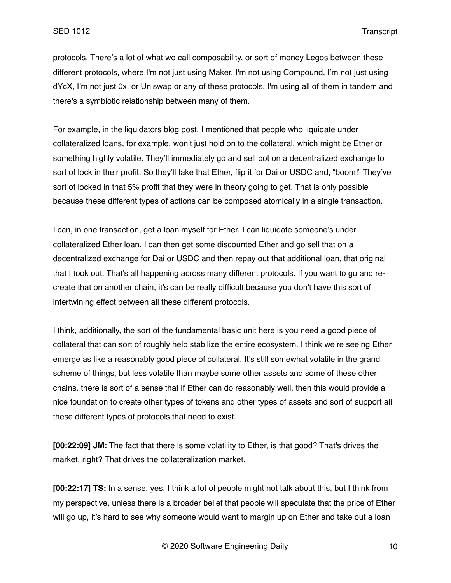protocols. There's a lot of what we call composability, or sort of money Legos between these different protocols, where I'm not just using Maker, I'm not using Compound, I'm not just using dYcX, I'm not just 0x, or Uniswap or any of these protocols. I'm using all of them in tandem and there's a symbiotic relationship between many of them.

For example, in the liquidators blog post, I mentioned that people who liquidate under collateralized loans, for example, won't just hold on to the collateral, which might be Ether or something highly volatile. They'll immediately go and sell bot on a decentralized exchange to sort of lock in their profit. So they'll take that Ether, flip it for Dai or USDC and, "boom!" They've sort of locked in that 5% profit that they were in theory going to get. That is only possible because these different types of actions can be composed atomically in a single transaction.

I can, in one transaction, get a loan myself for Ether. I can liquidate someone's under collateralized Ether loan. I can then get some discounted Ether and go sell that on a decentralized exchange for Dai or USDC and then repay out that additional loan, that original that I took out. That's all happening across many different protocols. If you want to go and recreate that on another chain, it's can be really difficult because you don't have this sort of intertwining effect between all these different protocols.

I think, additionally, the sort of the fundamental basic unit here is you need a good piece of collateral that can sort of roughly help stabilize the entire ecosystem. I think we're seeing Ether emerge as like a reasonably good piece of collateral. It's still somewhat volatile in the grand scheme of things, but less volatile than maybe some other assets and some of these other chains. there is sort of a sense that if Ether can do reasonably well, then this would provide a nice foundation to create other types of tokens and other types of assets and sort of support all these different types of protocols that need to exist.

**[00:22:09] JM:** The fact that there is some volatility to Ether, is that good? That's drives the market, right? That drives the collateralization market.

**[00:22:17] TS:** In a sense, yes. I think a lot of people might not talk about this, but I think from my perspective, unless there is a broader belief that people will speculate that the price of Ether will go up, it's hard to see why someone would want to margin up on Ether and take out a loan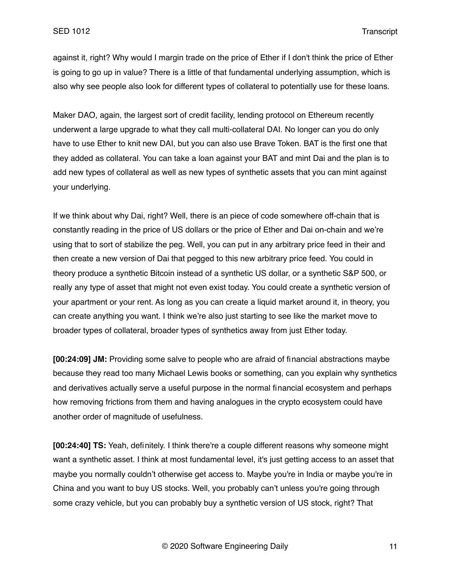against it, right? Why would I margin trade on the price of Ether if I don't think the price of Ether is going to go up in value? There is a little of that fundamental underlying assumption, which is also why see people also look for different types of collateral to potentially use for these loans.

Maker DAO, again, the largest sort of credit facility, lending protocol on Ethereum recently underwent a large upgrade to what they call multi-collateral DAI. No longer can you do only have to use Ether to knit new DAI, but you can also use Brave Token. BAT is the first one that they added as collateral. You can take a loan against your BAT and mint Dai and the plan is to add new types of collateral as well as new types of synthetic assets that you can mint against your underlying.

If we think about why Dai, right? Well, there is an piece of code somewhere off-chain that is constantly reading in the price of US dollars or the price of Ether and Dai on-chain and we're using that to sort of stabilize the peg. Well, you can put in any arbitrary price feed in their and then create a new version of Dai that pegged to this new arbitrary price feed. You could in theory produce a synthetic Bitcoin instead of a synthetic US dollar, or a synthetic S&P 500, or really any type of asset that might not even exist today. You could create a synthetic version of your apartment or your rent. As long as you can create a liquid market around it, in theory, you can create anything you want. I think we're also just starting to see like the market move to broader types of collateral, broader types of synthetics away from just Ether today.

**[00:24:09] JM:** Providing some salve to people who are afraid of financial abstractions maybe because they read too many Michael Lewis books or something, can you explain why synthetics and derivatives actually serve a useful purpose in the normal financial ecosystem and perhaps how removing frictions from them and having analogues in the crypto ecosystem could have another order of magnitude of usefulness.

**[00:24:40] TS:** Yeah, definitely. I think there're a couple different reasons why someone might want a synthetic asset. I think at most fundamental level, it's just getting access to an asset that maybe you normally couldn't otherwise get access to. Maybe you're in India or maybe you're in China and you want to buy US stocks. Well, you probably can't unless you're going through some crazy vehicle, but you can probably buy a synthetic version of US stock, right? That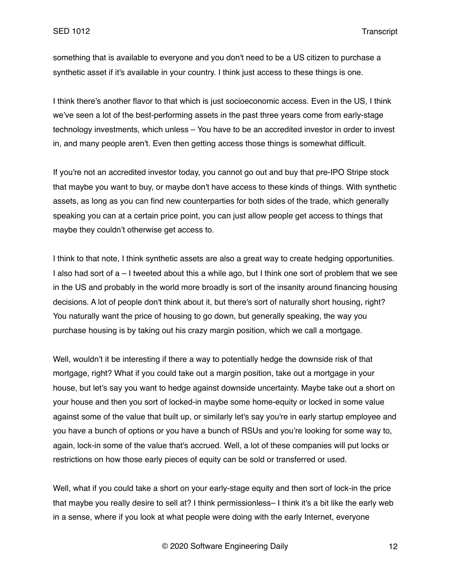something that is available to everyone and you don't need to be a US citizen to purchase a synthetic asset if it's available in your country. I think just access to these things is one.

I think there's another flavor to that which is just socioeconomic access. Even in the US, I think we've seen a lot of the best-performing assets in the past three years come from early-stage technology investments, which unless – You have to be an accredited investor in order to invest in, and many people aren't. Even then getting access those things is somewhat difficult.

If you're not an accredited investor today, you cannot go out and buy that pre-IPO Stripe stock that maybe you want to buy, or maybe don't have access to these kinds of things. With synthetic assets, as long as you can find new counterparties for both sides of the trade, which generally speaking you can at a certain price point, you can just allow people get access to things that maybe they couldn't otherwise get access to.

I think to that note, I think synthetic assets are also a great way to create hedging opportunities. I also had sort of a – I tweeted about this a while ago, but I think one sort of problem that we see in the US and probably in the world more broadly is sort of the insanity around financing housing decisions. A lot of people don't think about it, but there's sort of naturally short housing, right? You naturally want the price of housing to go down, but generally speaking, the way you purchase housing is by taking out his crazy margin position, which we call a mortgage.

Well, wouldn't it be interesting if there a way to potentially hedge the downside risk of that mortgage, right? What if you could take out a margin position, take out a mortgage in your house, but let's say you want to hedge against downside uncertainty. Maybe take out a short on your house and then you sort of locked-in maybe some home-equity or locked in some value against some of the value that built up, or similarly let's say you're in early startup employee and you have a bunch of options or you have a bunch of RSUs and you're looking for some way to, again, lock-in some of the value that's accrued. Well, a lot of these companies will put locks or restrictions on how those early pieces of equity can be sold or transferred or used.

Well, what if you could take a short on your early-stage equity and then sort of lock-in the price that maybe you really desire to sell at? I think permissionless– I think it's a bit like the early web in a sense, where if you look at what people were doing with the early Internet, everyone

© 2020 Software Engineering Daily 12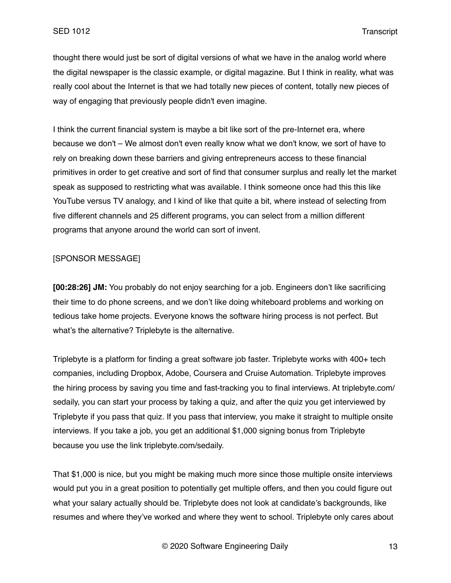thought there would just be sort of digital versions of what we have in the analog world where the digital newspaper is the classic example, or digital magazine. But I think in reality, what was really cool about the Internet is that we had totally new pieces of content, totally new pieces of way of engaging that previously people didn't even imagine.

I think the current financial system is maybe a bit like sort of the pre-Internet era, where because we don't – We almost don't even really know what we don't know, we sort of have to rely on breaking down these barriers and giving entrepreneurs access to these financial primitives in order to get creative and sort of find that consumer surplus and really let the market speak as supposed to restricting what was available. I think someone once had this this like YouTube versus TV analogy, and I kind of like that quite a bit, where instead of selecting from five different channels and 25 different programs, you can select from a million different programs that anyone around the world can sort of invent.

# [SPONSOR MESSAGE]

**[00:28:26] JM:** You probably do not enjoy searching for a job. Engineers don't like sacrificing their time to do phone screens, and we don't like doing whiteboard problems and working on tedious take home projects. Everyone knows the software hiring process is not perfect. But what's the alternative? Triplebyte is the alternative.

Triplebyte is a platform for finding a great software job faster. Triplebyte works with 400+ tech companies, including Dropbox, Adobe, Coursera and Cruise Automation. Triplebyte improves the hiring process by saving you time and fast-tracking you to final interviews. At triplebyte.com/ sedaily, you can start your process by taking a quiz, and after the quiz you get interviewed by Triplebyte if you pass that quiz. If you pass that interview, you make it straight to multiple onsite interviews. If you take a job, you get an additional \$1,000 signing bonus from Triplebyte because you use the link triplebyte.com/sedaily.

That \$1,000 is nice, but you might be making much more since those multiple onsite interviews would put you in a great position to potentially get multiple offers, and then you could figure out what your salary actually should be. Triplebyte does not look at candidate's backgrounds, like resumes and where they've worked and where they went to school. Triplebyte only cares about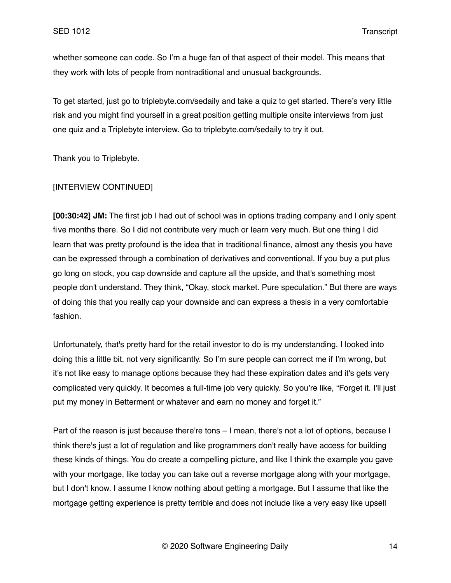whether someone can code. So I'm a huge fan of that aspect of their model. This means that they work with lots of people from nontraditional and unusual backgrounds.

To get started, just go to triplebyte.com/sedaily and take a quiz to get started. There's very little risk and you might find yourself in a great position getting multiple onsite interviews from just one quiz and a Triplebyte interview. Go to triplebyte.com/sedaily to try it out.

Thank you to Triplebyte.

### [INTERVIEW CONTINUED]

**[00:30:42] JM:** The first job I had out of school was in options trading company and I only spent five months there. So I did not contribute very much or learn very much. But one thing I did learn that was pretty profound is the idea that in traditional finance, almost any thesis you have can be expressed through a combination of derivatives and conventional. If you buy a put plus go long on stock, you cap downside and capture all the upside, and that's something most people don't understand. They think, "Okay, stock market. Pure speculation." But there are ways of doing this that you really cap your downside and can express a thesis in a very comfortable fashion.

Unfortunately, that's pretty hard for the retail investor to do is my understanding. I looked into doing this a little bit, not very significantly. So I'm sure people can correct me if I'm wrong, but it's not like easy to manage options because they had these expiration dates and it's gets very complicated very quickly. It becomes a full-time job very quickly. So you're like, "Forget it. I'll just put my money in Betterment or whatever and earn no money and forget it."

Part of the reason is just because there're tons – I mean, there's not a lot of options, because I think there's just a lot of regulation and like programmers don't really have access for building these kinds of things. You do create a compelling picture, and like I think the example you gave with your mortgage, like today you can take out a reverse mortgage along with your mortgage, but I don't know. I assume I know nothing about getting a mortgage. But I assume that like the mortgage getting experience is pretty terrible and does not include like a very easy like upsell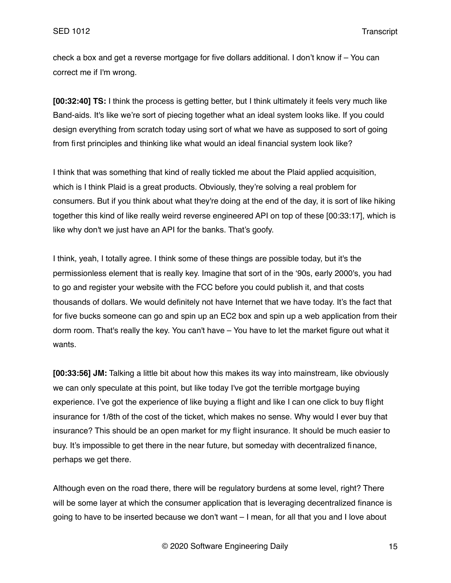check a box and get a reverse mortgage for five dollars additional. I don't know if – You can correct me if I'm wrong.

**[00:32:40] TS:** I think the process is getting better, but I think ultimately it feels very much like Band-aids. It's like we're sort of piecing together what an ideal system looks like. If you could design everything from scratch today using sort of what we have as supposed to sort of going from first principles and thinking like what would an ideal financial system look like?

I think that was something that kind of really tickled me about the Plaid applied acquisition, which is I think Plaid is a great products. Obviously, they're solving a real problem for consumers. But if you think about what they're doing at the end of the day, it is sort of like hiking together this kind of like really weird reverse engineered API on top of these [00:33:17], which is like why don't we just have an API for the banks. That's goofy.

I think, yeah, I totally agree. I think some of these things are possible today, but it's the permissionless element that is really key. Imagine that sort of in the '90s, early 2000's, you had to go and register your website with the FCC before you could publish it, and that costs thousands of dollars. We would definitely not have Internet that we have today. It's the fact that for five bucks someone can go and spin up an EC2 box and spin up a web application from their dorm room. That's really the key. You can't have – You have to let the market figure out what it wants.

**[00:33:56] JM:** Talking a little bit about how this makes its way into mainstream, like obviously we can only speculate at this point, but like today I've got the terrible mortgage buying experience. I've got the experience of like buying a flight and like I can one click to buy flight insurance for 1/8th of the cost of the ticket, which makes no sense. Why would I ever buy that insurance? This should be an open market for my flight insurance. It should be much easier to buy. It's impossible to get there in the near future, but someday with decentralized finance, perhaps we get there.

Although even on the road there, there will be regulatory burdens at some level, right? There will be some layer at which the consumer application that is leveraging decentralized finance is going to have to be inserted because we don't want – I mean, for all that you and I love about

© 2020 Software Engineering Daily 15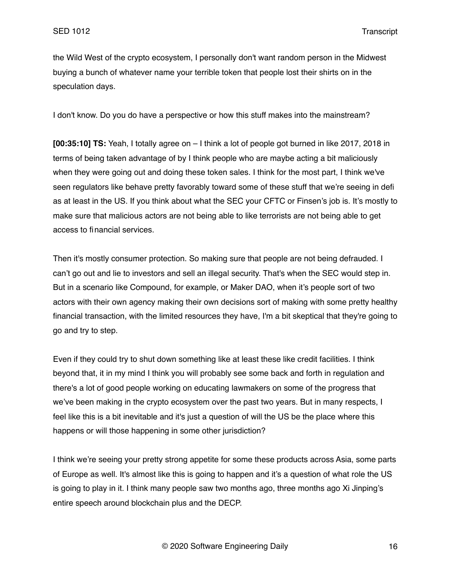the Wild West of the crypto ecosystem, I personally don't want random person in the Midwest buying a bunch of whatever name your terrible token that people lost their shirts on in the speculation days.

I don't know. Do you do have a perspective or how this stuff makes into the mainstream?

**[00:35:10] TS:** Yeah, I totally agree on – I think a lot of people got burned in like 2017, 2018 in terms of being taken advantage of by I think people who are maybe acting a bit maliciously when they were going out and doing these token sales. I think for the most part, I think we've seen regulators like behave pretty favorably toward some of these stuff that we're seeing in defi as at least in the US. If you think about what the SEC your CFTC or Finsen's job is. It's mostly to make sure that malicious actors are not being able to like terrorists are not being able to get access to financial services.

Then it's mostly consumer protection. So making sure that people are not being defrauded. I can't go out and lie to investors and sell an illegal security. That's when the SEC would step in. But in a scenario like Compound, for example, or Maker DAO, when it's people sort of two actors with their own agency making their own decisions sort of making with some pretty healthy financial transaction, with the limited resources they have, I'm a bit skeptical that they're going to go and try to step.

Even if they could try to shut down something like at least these like credit facilities. I think beyond that, it in my mind I think you will probably see some back and forth in regulation and there's a lot of good people working on educating lawmakers on some of the progress that we've been making in the crypto ecosystem over the past two years. But in many respects, I feel like this is a bit inevitable and it's just a question of will the US be the place where this happens or will those happening in some other jurisdiction?

I think we're seeing your pretty strong appetite for some these products across Asia, some parts of Europe as well. It's almost like this is going to happen and it's a question of what role the US is going to play in it. I think many people saw two months ago, three months ago Xi Jinping's entire speech around blockchain plus and the DECP.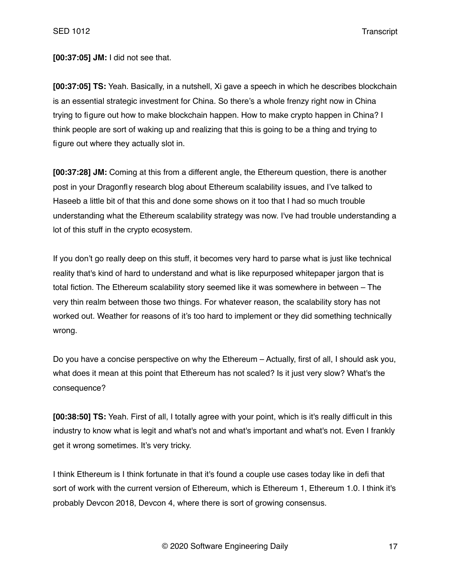**[00:37:05] JM:** I did not see that.

**[00:37:05] TS:** Yeah. Basically, in a nutshell, Xi gave a speech in which he describes blockchain is an essential strategic investment for China. So there's a whole frenzy right now in China trying to figure out how to make blockchain happen. How to make crypto happen in China? I think people are sort of waking up and realizing that this is going to be a thing and trying to figure out where they actually slot in.

**[00:37:28] JM:** Coming at this from a different angle, the Ethereum question, there is another post in your Dragonfly research blog about Ethereum scalability issues, and I've talked to Haseeb a little bit of that this and done some shows on it too that I had so much trouble understanding what the Ethereum scalability strategy was now. I've had trouble understanding a lot of this stuff in the crypto ecosystem.

If you don't go really deep on this stuff, it becomes very hard to parse what is just like technical reality that's kind of hard to understand and what is like repurposed whitepaper jargon that is total fiction. The Ethereum scalability story seemed like it was somewhere in between – The very thin realm between those two things. For whatever reason, the scalability story has not worked out. Weather for reasons of it's too hard to implement or they did something technically wrong.

Do you have a concise perspective on why the Ethereum – Actually, first of all, I should ask you, what does it mean at this point that Ethereum has not scaled? Is it just very slow? What's the consequence?

**[00:38:50] TS:** Yeah. First of all, I totally agree with your point, which is it's really difficult in this industry to know what is legit and what's not and what's important and what's not. Even I frankly get it wrong sometimes. It's very tricky.

I think Ethereum is I think fortunate in that it's found a couple use cases today like in defi that sort of work with the current version of Ethereum, which is Ethereum 1, Ethereum 1.0. I think it's probably Devcon 2018, Devcon 4, where there is sort of growing consensus.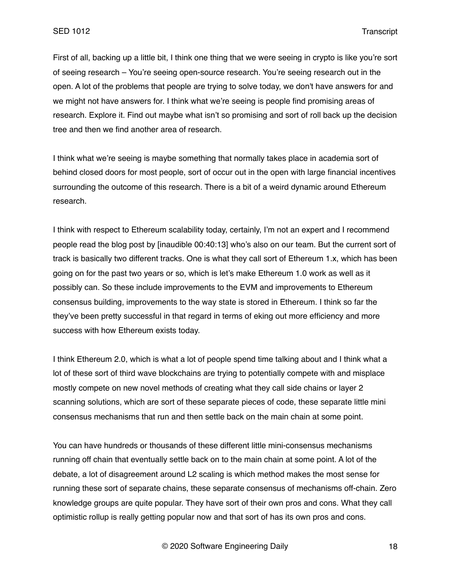First of all, backing up a little bit, I think one thing that we were seeing in crypto is like you're sort of seeing research – You're seeing open-source research. You're seeing research out in the open. A lot of the problems that people are trying to solve today, we don't have answers for and we might not have answers for. I think what we're seeing is people find promising areas of research. Explore it. Find out maybe what isn't so promising and sort of roll back up the decision tree and then we find another area of research.

I think what we're seeing is maybe something that normally takes place in academia sort of behind closed doors for most people, sort of occur out in the open with large financial incentives surrounding the outcome of this research. There is a bit of a weird dynamic around Ethereum research.

I think with respect to Ethereum scalability today, certainly, I'm not an expert and I recommend people read the blog post by [inaudible 00:40:13] who's also on our team. But the current sort of track is basically two different tracks. One is what they call sort of Ethereum 1.x, which has been going on for the past two years or so, which is let's make Ethereum 1.0 work as well as it possibly can. So these include improvements to the EVM and improvements to Ethereum consensus building, improvements to the way state is stored in Ethereum. I think so far the they've been pretty successful in that regard in terms of eking out more efficiency and more success with how Ethereum exists today.

I think Ethereum 2.0, which is what a lot of people spend time talking about and I think what a lot of these sort of third wave blockchains are trying to potentially compete with and misplace mostly compete on new novel methods of creating what they call side chains or layer 2 scanning solutions, which are sort of these separate pieces of code, these separate little mini consensus mechanisms that run and then settle back on the main chain at some point.

You can have hundreds or thousands of these different little mini-consensus mechanisms running off chain that eventually settle back on to the main chain at some point. A lot of the debate, a lot of disagreement around L2 scaling is which method makes the most sense for running these sort of separate chains, these separate consensus of mechanisms off-chain. Zero knowledge groups are quite popular. They have sort of their own pros and cons. What they call optimistic rollup is really getting popular now and that sort of has its own pros and cons.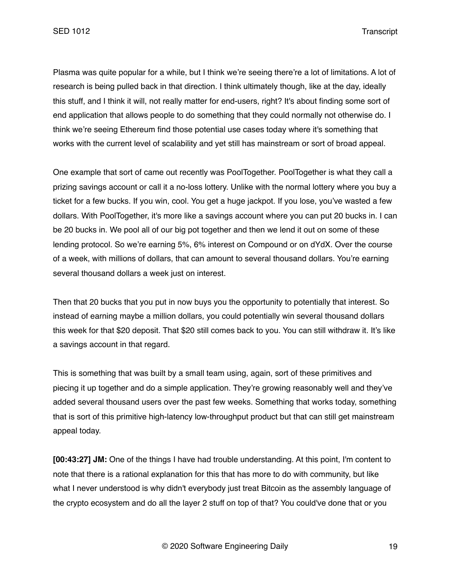Plasma was quite popular for a while, but I think we're seeing there're a lot of limitations. A lot of research is being pulled back in that direction. I think ultimately though, like at the day, ideally this stuff, and I think it will, not really matter for end-users, right? It's about finding some sort of end application that allows people to do something that they could normally not otherwise do. I think we're seeing Ethereum find those potential use cases today where it's something that works with the current level of scalability and yet still has mainstream or sort of broad appeal.

One example that sort of came out recently was PoolTogether. PoolTogether is what they call a prizing savings account or call it a no-loss lottery. Unlike with the normal lottery where you buy a ticket for a few bucks. If you win, cool. You get a huge jackpot. If you lose, you've wasted a few dollars. With PoolTogether, it's more like a savings account where you can put 20 bucks in. I can be 20 bucks in. We pool all of our big pot together and then we lend it out on some of these lending protocol. So we're earning 5%, 6% interest on Compound or on dYdX. Over the course of a week, with millions of dollars, that can amount to several thousand dollars. You're earning several thousand dollars a week just on interest.

Then that 20 bucks that you put in now buys you the opportunity to potentially that interest. So instead of earning maybe a million dollars, you could potentially win several thousand dollars this week for that \$20 deposit. That \$20 still comes back to you. You can still withdraw it. It's like a savings account in that regard.

This is something that was built by a small team using, again, sort of these primitives and piecing it up together and do a simple application. They're growing reasonably well and they've added several thousand users over the past few weeks. Something that works today, something that is sort of this primitive high-latency low-throughput product but that can still get mainstream appeal today.

**[00:43:27] JM:** One of the things I have had trouble understanding. At this point, I'm content to note that there is a rational explanation for this that has more to do with community, but like what I never understood is why didn't everybody just treat Bitcoin as the assembly language of the crypto ecosystem and do all the layer 2 stuff on top of that? You could've done that or you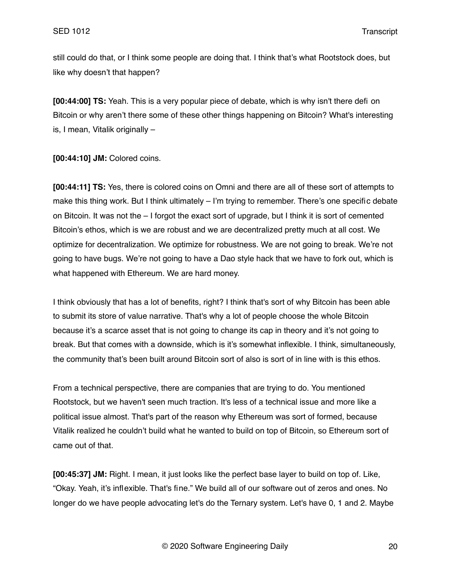still could do that, or I think some people are doing that. I think that's what Rootstock does, but like why doesn't that happen?

**[00:44:00] TS:** Yeah. This is a very popular piece of debate, which is why isn't there defi on Bitcoin or why aren't there some of these other things happening on Bitcoin? What's interesting is, I mean, Vitalik originally –

**[00:44:10] JM:** Colored coins.

**[00:44:11] TS:** Yes, there is colored coins on Omni and there are all of these sort of attempts to make this thing work. But I think ultimately – I'm trying to remember. There's one specific debate on Bitcoin. It was not the – I forgot the exact sort of upgrade, but I think it is sort of cemented Bitcoin's ethos, which is we are robust and we are decentralized pretty much at all cost. We optimize for decentralization. We optimize for robustness. We are not going to break. We're not going to have bugs. We're not going to have a Dao style hack that we have to fork out, which is what happened with Ethereum. We are hard money.

I think obviously that has a lot of benefits, right? I think that's sort of why Bitcoin has been able to submit its store of value narrative. That's why a lot of people choose the whole Bitcoin because it's a scarce asset that is not going to change its cap in theory and it's not going to break. But that comes with a downside, which is it's somewhat inflexible. I think, simultaneously, the community that's been built around Bitcoin sort of also is sort of in line with is this ethos.

From a technical perspective, there are companies that are trying to do. You mentioned Rootstock, but we haven't seen much traction. It's less of a technical issue and more like a political issue almost. That's part of the reason why Ethereum was sort of formed, because Vitalik realized he couldn't build what he wanted to build on top of Bitcoin, so Ethereum sort of came out of that.

**[00:45:37] JM:** Right. I mean, it just looks like the perfect base layer to build on top of. Like, "Okay. Yeah, it's inflexible. That's fine." We build all of our software out of zeros and ones. No longer do we have people advocating let's do the Ternary system. Let's have 0, 1 and 2. Maybe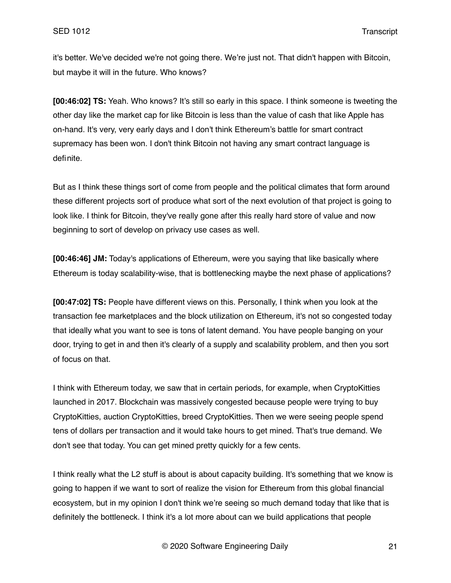it's better. We've decided we're not going there. We're just not. That didn't happen with Bitcoin, but maybe it will in the future. Who knows?

**[00:46:02] TS:** Yeah. Who knows? It's still so early in this space. I think someone is tweeting the other day like the market cap for like Bitcoin is less than the value of cash that like Apple has on-hand. It's very, very early days and I don't think Ethereum's battle for smart contract supremacy has been won. I don't think Bitcoin not having any smart contract language is definite.

But as I think these things sort of come from people and the political climates that form around these different projects sort of produce what sort of the next evolution of that project is going to look like. I think for Bitcoin, they've really gone after this really hard store of value and now beginning to sort of develop on privacy use cases as well.

**[00:46:46] JM:** Today's applications of Ethereum, were you saying that like basically where Ethereum is today scalability-wise, that is bottlenecking maybe the next phase of applications?

**[00:47:02] TS:** People have different views on this. Personally, I think when you look at the transaction fee marketplaces and the block utilization on Ethereum, it's not so congested today that ideally what you want to see is tons of latent demand. You have people banging on your door, trying to get in and then it's clearly of a supply and scalability problem, and then you sort of focus on that.

I think with Ethereum today, we saw that in certain periods, for example, when CryptoKitties launched in 2017. Blockchain was massively congested because people were trying to buy CryptoKitties, auction CryptoKitties, breed CryptoKitties. Then we were seeing people spend tens of dollars per transaction and it would take hours to get mined. That's true demand. We don't see that today. You can get mined pretty quickly for a few cents.

I think really what the L2 stuff is about is about capacity building. It's something that we know is going to happen if we want to sort of realize the vision for Ethereum from this global financial ecosystem, but in my opinion I don't think we're seeing so much demand today that like that is definitely the bottleneck. I think it's a lot more about can we build applications that people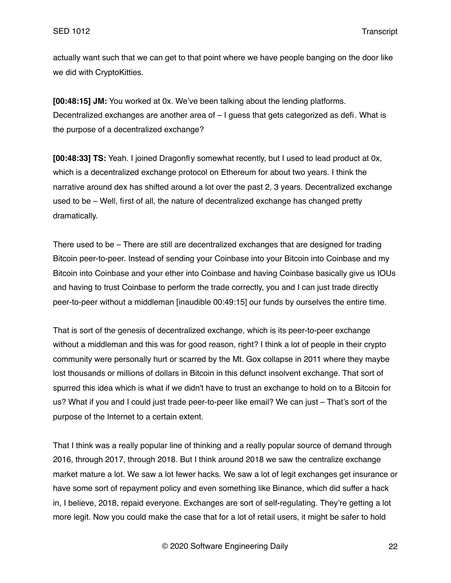actually want such that we can get to that point where we have people banging on the door like we did with CryptoKitties.

**[00:48:15] JM:** You worked at 0x. We've been talking about the lending platforms. Decentralized exchanges are another area of – I guess that gets categorized as defi. What is the purpose of a decentralized exchange?

**[00:48:33] TS:** Yeah. I joined Dragonfly somewhat recently, but I used to lead product at 0x, which is a decentralized exchange protocol on Ethereum for about two years. I think the narrative around dex has shifted around a lot over the past 2, 3 years. Decentralized exchange used to be – Well, first of all, the nature of decentralized exchange has changed pretty dramatically.

There used to be – There are still are decentralized exchanges that are designed for trading Bitcoin peer-to-peer. Instead of sending your Coinbase into your Bitcoin into Coinbase and my Bitcoin into Coinbase and your ether into Coinbase and having Coinbase basically give us IOUs and having to trust Coinbase to perform the trade correctly, you and I can just trade directly peer-to-peer without a middleman [inaudible 00:49:15] our funds by ourselves the entire time.

That is sort of the genesis of decentralized exchange, which is its peer-to-peer exchange without a middleman and this was for good reason, right? I think a lot of people in their crypto community were personally hurt or scarred by the Mt. Gox collapse in 2011 where they maybe lost thousands or millions of dollars in Bitcoin in this defunct insolvent exchange. That sort of spurred this idea which is what if we didn't have to trust an exchange to hold on to a Bitcoin for us? What if you and I could just trade peer-to-peer like email? We can just – That's sort of the purpose of the Internet to a certain extent.

That I think was a really popular line of thinking and a really popular source of demand through 2016, through 2017, through 2018. But I think around 2018 we saw the centralize exchange market mature a lot. We saw a lot fewer hacks. We saw a lot of legit exchanges get insurance or have some sort of repayment policy and even something like Binance, which did suffer a hack in, I believe, 2018, repaid everyone. Exchanges are sort of self-regulating. They're getting a lot more legit. Now you could make the case that for a lot of retail users, it might be safer to hold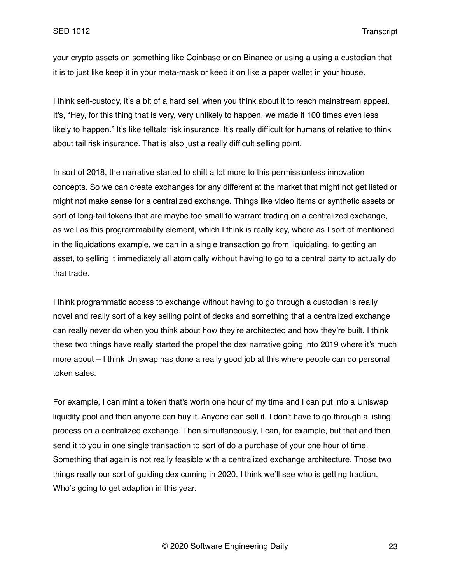your crypto assets on something like Coinbase or on Binance or using a using a custodian that it is to just like keep it in your meta-mask or keep it on like a paper wallet in your house.

I think self-custody, it's a bit of a hard sell when you think about it to reach mainstream appeal. It's, "Hey, for this thing that is very, very unlikely to happen, we made it 100 times even less likely to happen." It's like telltale risk insurance. It's really difficult for humans of relative to think about tail risk insurance. That is also just a really difficult selling point.

In sort of 2018, the narrative started to shift a lot more to this permissionless innovation concepts. So we can create exchanges for any different at the market that might not get listed or might not make sense for a centralized exchange. Things like video items or synthetic assets or sort of long-tail tokens that are maybe too small to warrant trading on a centralized exchange, as well as this programmability element, which I think is really key, where as I sort of mentioned in the liquidations example, we can in a single transaction go from liquidating, to getting an asset, to selling it immediately all atomically without having to go to a central party to actually do that trade.

I think programmatic access to exchange without having to go through a custodian is really novel and really sort of a key selling point of decks and something that a centralized exchange can really never do when you think about how they're architected and how they're built. I think these two things have really started the propel the dex narrative going into 2019 where it's much more about – I think Uniswap has done a really good job at this where people can do personal token sales.

For example, I can mint a token that's worth one hour of my time and I can put into a Uniswap liquidity pool and then anyone can buy it. Anyone can sell it. I don't have to go through a listing process on a centralized exchange. Then simultaneously, I can, for example, but that and then send it to you in one single transaction to sort of do a purchase of your one hour of time. Something that again is not really feasible with a centralized exchange architecture. Those two things really our sort of guiding dex coming in 2020. I think we'll see who is getting traction. Who's going to get adaption in this year.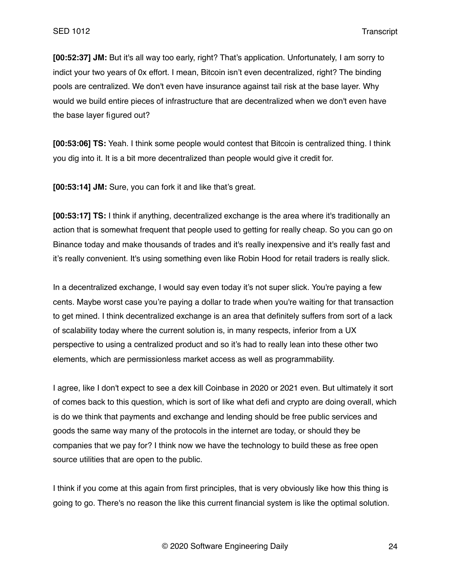**[00:52:37] JM:** But it's all way too early, right? That's application. Unfortunately, I am sorry to indict your two years of 0x effort. I mean, Bitcoin isn't even decentralized, right? The binding pools are centralized. We don't even have insurance against tail risk at the base layer. Why would we build entire pieces of infrastructure that are decentralized when we don't even have the base layer figured out?

**[00:53:06] TS:** Yeah. I think some people would contest that Bitcoin is centralized thing. I think you dig into it. It is a bit more decentralized than people would give it credit for.

**[00:53:14] JM:** Sure, you can fork it and like that's great.

**[00:53:17] TS:** I think if anything, decentralized exchange is the area where it's traditionally an action that is somewhat frequent that people used to getting for really cheap. So you can go on Binance today and make thousands of trades and it's really inexpensive and it's really fast and it's really convenient. It's using something even like Robin Hood for retail traders is really slick.

In a decentralized exchange, I would say even today it's not super slick. You're paying a few cents. Maybe worst case you're paying a dollar to trade when you're waiting for that transaction to get mined. I think decentralized exchange is an area that definitely suffers from sort of a lack of scalability today where the current solution is, in many respects, inferior from a UX perspective to using a centralized product and so it's had to really lean into these other two elements, which are permissionless market access as well as programmability.

I agree, like I don't expect to see a dex kill Coinbase in 2020 or 2021 even. But ultimately it sort of comes back to this question, which is sort of like what defi and crypto are doing overall, which is do we think that payments and exchange and lending should be free public services and goods the same way many of the protocols in the internet are today, or should they be companies that we pay for? I think now we have the technology to build these as free open source utilities that are open to the public.

I think if you come at this again from first principles, that is very obviously like how this thing is going to go. There's no reason the like this current financial system is like the optimal solution.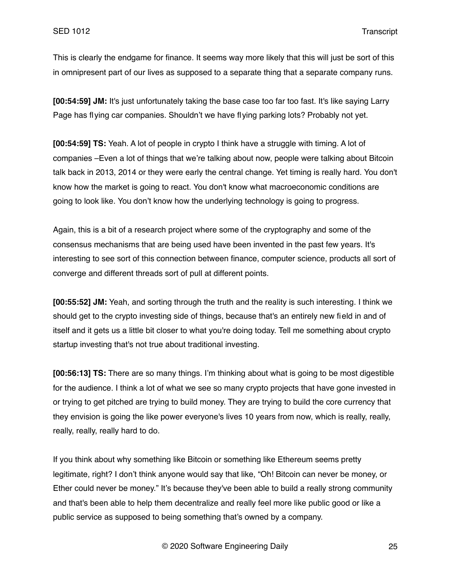This is clearly the endgame for finance. It seems way more likely that this will just be sort of this in omnipresent part of our lives as supposed to a separate thing that a separate company runs.

**[00:54:59] JM:** It's just unfortunately taking the base case too far too fast. It's like saying Larry Page has flying car companies. Shouldn't we have flying parking lots? Probably not yet.

**[00:54:59] TS:** Yeah. A lot of people in crypto I think have a struggle with timing. A lot of companies –Even a lot of things that we're talking about now, people were talking about Bitcoin talk back in 2013, 2014 or they were early the central change. Yet timing is really hard. You don't know how the market is going to react. You don't know what macroeconomic conditions are going to look like. You don't know how the underlying technology is going to progress.

Again, this is a bit of a research project where some of the cryptography and some of the consensus mechanisms that are being used have been invented in the past few years. It's interesting to see sort of this connection between finance, computer science, products all sort of converge and different threads sort of pull at different points.

**[00:55:52] JM:** Yeah, and sorting through the truth and the reality is such interesting. I think we should get to the crypto investing side of things, because that's an entirely new field in and of itself and it gets us a little bit closer to what you're doing today. Tell me something about crypto startup investing that's not true about traditional investing.

**[00:56:13] TS:** There are so many things. I'm thinking about what is going to be most digestible for the audience. I think a lot of what we see so many crypto projects that have gone invested in or trying to get pitched are trying to build money. They are trying to build the core currency that they envision is going the like power everyone's lives 10 years from now, which is really, really, really, really, really hard to do.

If you think about why something like Bitcoin or something like Ethereum seems pretty legitimate, right? I don't think anyone would say that like, "Oh! Bitcoin can never be money, or Ether could never be money." It's because they've been able to build a really strong community and that's been able to help them decentralize and really feel more like public good or like a public service as supposed to being something that's owned by a company.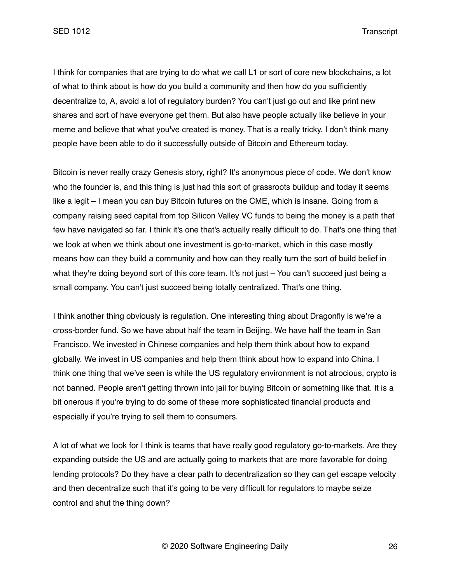I think for companies that are trying to do what we call L1 or sort of core new blockchains, a lot of what to think about is how do you build a community and then how do you sufficiently decentralize to, A, avoid a lot of regulatory burden? You can't just go out and like print new shares and sort of have everyone get them. But also have people actually like believe in your meme and believe that what you've created is money. That is a really tricky. I don't think many people have been able to do it successfully outside of Bitcoin and Ethereum today.

Bitcoin is never really crazy Genesis story, right? It's anonymous piece of code. We don't know who the founder is, and this thing is just had this sort of grassroots buildup and today it seems like a legit – I mean you can buy Bitcoin futures on the CME, which is insane. Going from a company raising seed capital from top Silicon Valley VC funds to being the money is a path that few have navigated so far. I think it's one that's actually really difficult to do. That's one thing that we look at when we think about one investment is go-to-market, which in this case mostly means how can they build a community and how can they really turn the sort of build belief in what they're doing beyond sort of this core team. It's not just – You can't succeed just being a small company. You can't just succeed being totally centralized. That's one thing.

I think another thing obviously is regulation. One interesting thing about Dragonfly is we're a cross-border fund. So we have about half the team in Beijing. We have half the team in San Francisco. We invested in Chinese companies and help them think about how to expand globally. We invest in US companies and help them think about how to expand into China. I think one thing that we've seen is while the US regulatory environment is not atrocious, crypto is not banned. People aren't getting thrown into jail for buying Bitcoin or something like that. It is a bit onerous if you're trying to do some of these more sophisticated financial products and especially if you're trying to sell them to consumers.

A lot of what we look for I think is teams that have really good regulatory go-to-markets. Are they expanding outside the US and are actually going to markets that are more favorable for doing lending protocols? Do they have a clear path to decentralization so they can get escape velocity and then decentralize such that it's going to be very difficult for regulators to maybe seize control and shut the thing down?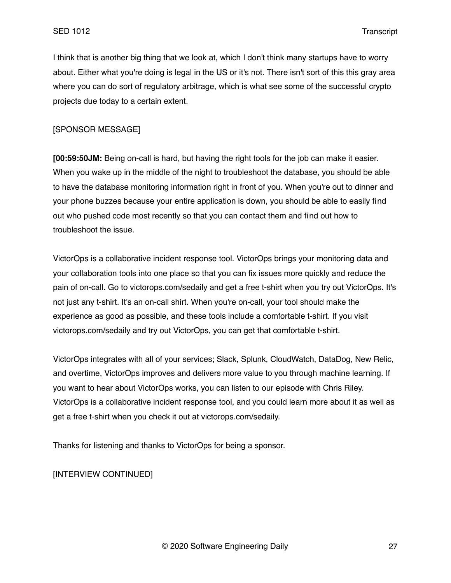I think that is another big thing that we look at, which I don't think many startups have to worry about. Either what you're doing is legal in the US or it's not. There isn't sort of this this gray area where you can do sort of regulatory arbitrage, which is what see some of the successful crypto projects due today to a certain extent.

# [SPONSOR MESSAGE]

**[00:59:50JM:** Being on-call is hard, but having the right tools for the job can make it easier. When you wake up in the middle of the night to troubleshoot the database, you should be able to have the database monitoring information right in front of you. When you're out to dinner and your phone buzzes because your entire application is down, you should be able to easily find out who pushed code most recently so that you can contact them and find out how to troubleshoot the issue.

VictorOps is a collaborative incident response tool. VictorOps brings your monitoring data and your collaboration tools into one place so that you can fix issues more quickly and reduce the pain of on-call. Go to victorops.com/sedaily and get a free t-shirt when you try out VictorOps. It's not just any t-shirt. It's an on-call shirt. When you're on-call, your tool should make the experience as good as possible, and these tools include a comfortable t-shirt. If you visit victorops.com/sedaily and try out VictorOps, you can get that comfortable t-shirt.

VictorOps integrates with all of your services; Slack, Splunk, CloudWatch, DataDog, New Relic, and overtime, VictorOps improves and delivers more value to you through machine learning. If you want to hear about VictorOps works, you can listen to our episode with Chris Riley. VictorOps is a collaborative incident response tool, and you could learn more about it as well as get a free t-shirt when you check it out at victorops.com/sedaily.

Thanks for listening and thanks to VictorOps for being a sponsor.

[INTERVIEW CONTINUED]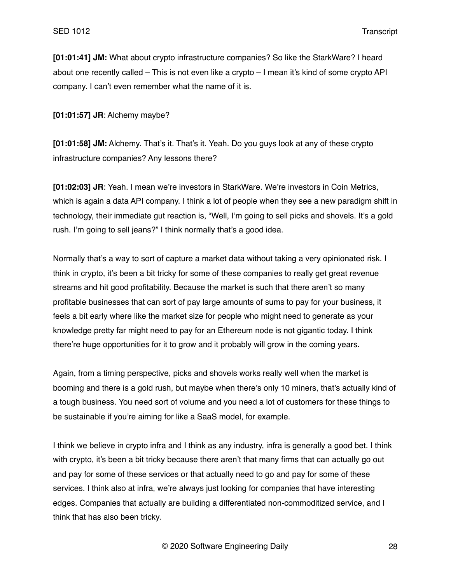**[01:01:41] JM:** What about crypto infrastructure companies? So like the StarkWare? I heard about one recently called – This is not even like a crypto – I mean it's kind of some crypto API company. I can't even remember what the name of it is.

**[01:01:57] JR**: Alchemy maybe?

**[01:01:58] JM:** Alchemy. That's it. That's it. Yeah. Do you guys look at any of these crypto infrastructure companies? Any lessons there?

**[01:02:03] JR**: Yeah. I mean we're investors in StarkWare. We're investors in Coin Metrics, which is again a data API company. I think a lot of people when they see a new paradigm shift in technology, their immediate gut reaction is, "Well, I'm going to sell picks and shovels. It's a gold rush. I'm going to sell jeans?" I think normally that's a good idea.

Normally that's a way to sort of capture a market data without taking a very opinionated risk. I think in crypto, it's been a bit tricky for some of these companies to really get great revenue streams and hit good profitability. Because the market is such that there aren't so many profitable businesses that can sort of pay large amounts of sums to pay for your business, it feels a bit early where like the market size for people who might need to generate as your knowledge pretty far might need to pay for an Ethereum node is not gigantic today. I think there're huge opportunities for it to grow and it probably will grow in the coming years.

Again, from a timing perspective, picks and shovels works really well when the market is booming and there is a gold rush, but maybe when there's only 10 miners, that's actually kind of a tough business. You need sort of volume and you need a lot of customers for these things to be sustainable if you're aiming for like a SaaS model, for example.

I think we believe in crypto infra and I think as any industry, infra is generally a good bet. I think with crypto, it's been a bit tricky because there aren't that many firms that can actually go out and pay for some of these services or that actually need to go and pay for some of these services. I think also at infra, we're always just looking for companies that have interesting edges. Companies that actually are building a differentiated non-commoditized service, and I think that has also been tricky.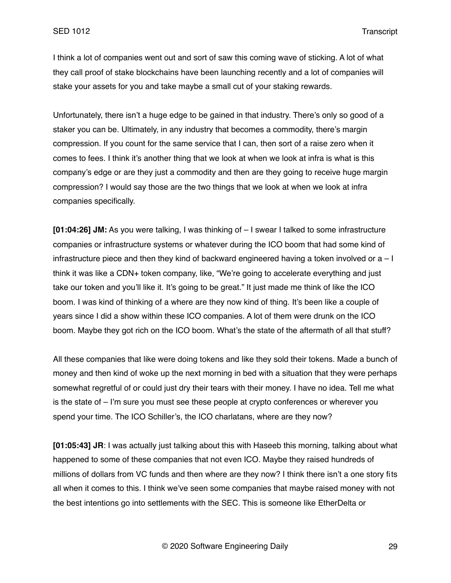I think a lot of companies went out and sort of saw this coming wave of sticking. A lot of what they call proof of stake blockchains have been launching recently and a lot of companies will stake your assets for you and take maybe a small cut of your staking rewards.

Unfortunately, there isn't a huge edge to be gained in that industry. There's only so good of a staker you can be. Ultimately, in any industry that becomes a commodity, there's margin compression. If you count for the same service that I can, then sort of a raise zero when it comes to fees. I think it's another thing that we look at when we look at infra is what is this company's edge or are they just a commodity and then are they going to receive huge margin compression? I would say those are the two things that we look at when we look at infra companies specifically.

**[01:04:26] JM:** As you were talking, I was thinking of – I swear I talked to some infrastructure companies or infrastructure systems or whatever during the ICO boom that had some kind of infrastructure piece and then they kind of backward engineered having a token involved or  $a - 1$ think it was like a CDN+ token company, like, "We're going to accelerate everything and just take our token and you'll like it. It's going to be great." It just made me think of like the ICO boom. I was kind of thinking of a where are they now kind of thing. It's been like a couple of years since I did a show within these ICO companies. A lot of them were drunk on the ICO boom. Maybe they got rich on the ICO boom. What's the state of the aftermath of all that stuff?

All these companies that like were doing tokens and like they sold their tokens. Made a bunch of money and then kind of woke up the next morning in bed with a situation that they were perhaps somewhat regretful of or could just dry their tears with their money. I have no idea. Tell me what is the state of – I'm sure you must see these people at crypto conferences or wherever you spend your time. The ICO Schiller's, the ICO charlatans, where are they now?

**[01:05:43] JR**: I was actually just talking about this with Haseeb this morning, talking about what happened to some of these companies that not even ICO. Maybe they raised hundreds of millions of dollars from VC funds and then where are they now? I think there isn't a one story fits all when it comes to this. I think we've seen some companies that maybe raised money with not the best intentions go into settlements with the SEC. This is someone like EtherDelta or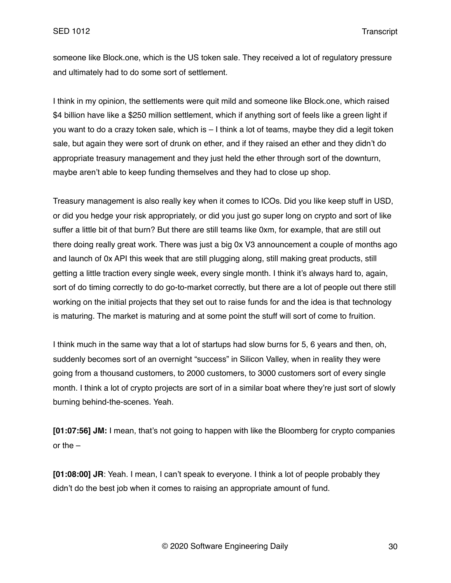someone like Block.one, which is the US token sale. They received a lot of regulatory pressure and ultimately had to do some sort of settlement.

I think in my opinion, the settlements were quit mild and someone like Block.one, which raised \$4 billion have like a \$250 million settlement, which if anything sort of feels like a green light if you want to do a crazy token sale, which is – I think a lot of teams, maybe they did a legit token sale, but again they were sort of drunk on ether, and if they raised an ether and they didn't do appropriate treasury management and they just held the ether through sort of the downturn, maybe aren't able to keep funding themselves and they had to close up shop.

Treasury management is also really key when it comes to ICOs. Did you like keep stuff in USD, or did you hedge your risk appropriately, or did you just go super long on crypto and sort of like suffer a little bit of that burn? But there are still teams like 0xm, for example, that are still out there doing really great work. There was just a big 0x V3 announcement a couple of months ago and launch of 0x API this week that are still plugging along, still making great products, still getting a little traction every single week, every single month. I think it's always hard to, again, sort of do timing correctly to do go-to-market correctly, but there are a lot of people out there still working on the initial projects that they set out to raise funds for and the idea is that technology is maturing. The market is maturing and at some point the stuff will sort of come to fruition.

I think much in the same way that a lot of startups had slow burns for 5, 6 years and then, oh, suddenly becomes sort of an overnight "success" in Silicon Valley, when in reality they were going from a thousand customers, to 2000 customers, to 3000 customers sort of every single month. I think a lot of crypto projects are sort of in a similar boat where they're just sort of slowly burning behind-the-scenes. Yeah.

**[01:07:56] JM:** I mean, that's not going to happen with like the Bloomberg for crypto companies or the –

**[01:08:00] JR**: Yeah. I mean, I can't speak to everyone. I think a lot of people probably they didn't do the best job when it comes to raising an appropriate amount of fund.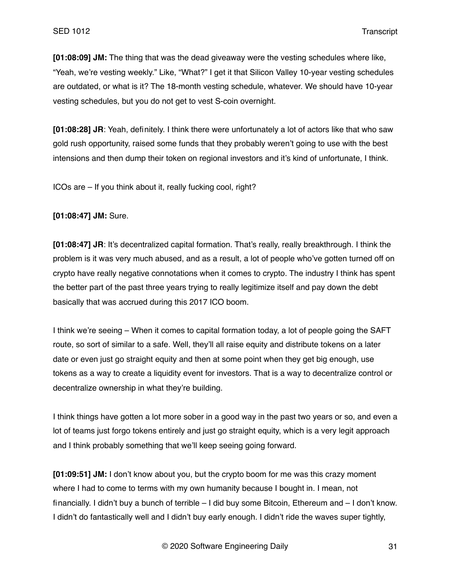**[01:08:09] JM:** The thing that was the dead giveaway were the vesting schedules where like, "Yeah, we're vesting weekly." Like, "What?" I get it that Silicon Valley 10-year vesting schedules are outdated, or what is it? The 18-month vesting schedule, whatever. We should have 10-year vesting schedules, but you do not get to vest S-coin overnight.

**[01:08:28] JR**: Yeah, definitely. I think there were unfortunately a lot of actors like that who saw gold rush opportunity, raised some funds that they probably weren't going to use with the best intensions and then dump their token on regional investors and it's kind of unfortunate, I think.

ICOs are – If you think about it, really fucking cool, right?

**[01:08:47] JM:** Sure.

**[01:08:47] JR**: It's decentralized capital formation. That's really, really breakthrough. I think the problem is it was very much abused, and as a result, a lot of people who've gotten turned off on crypto have really negative connotations when it comes to crypto. The industry I think has spent the better part of the past three years trying to really legitimize itself and pay down the debt basically that was accrued during this 2017 ICO boom.

I think we're seeing – When it comes to capital formation today, a lot of people going the SAFT route, so sort of similar to a safe. Well, they'll all raise equity and distribute tokens on a later date or even just go straight equity and then at some point when they get big enough, use tokens as a way to create a liquidity event for investors. That is a way to decentralize control or decentralize ownership in what they're building.

I think things have gotten a lot more sober in a good way in the past two years or so, and even a lot of teams just forgo tokens entirely and just go straight equity, which is a very legit approach and I think probably something that we'll keep seeing going forward.

**[01:09:51] JM:** I don't know about you, but the crypto boom for me was this crazy moment where I had to come to terms with my own humanity because I bought in. I mean, not financially. I didn't buy a bunch of terrible – I did buy some Bitcoin, Ethereum and – I don't know. I didn't do fantastically well and I didn't buy early enough. I didn't ride the waves super tightly,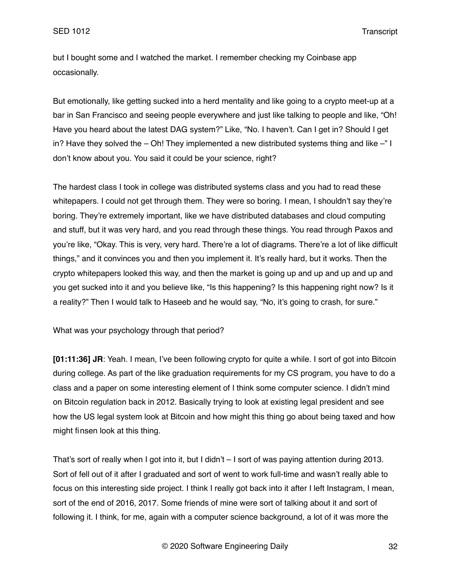but I bought some and I watched the market. I remember checking my Coinbase app occasionally.

But emotionally, like getting sucked into a herd mentality and like going to a crypto meet-up at a bar in San Francisco and seeing people everywhere and just like talking to people and like, "Oh! Have you heard about the latest DAG system?" Like, "No. I haven't. Can I get in? Should I get in? Have they solved the – Oh! They implemented a new distributed systems thing and like –" I don't know about you. You said it could be your science, right?

The hardest class I took in college was distributed systems class and you had to read these whitepapers. I could not get through them. They were so boring. I mean, I shouldn't say they're boring. They're extremely important, like we have distributed databases and cloud computing and stuff, but it was very hard, and you read through these things. You read through Paxos and you're like, "Okay. This is very, very hard. There're a lot of diagrams. There're a lot of like difficult things," and it convinces you and then you implement it. It's really hard, but it works. Then the crypto whitepapers looked this way, and then the market is going up and up and up and up and you get sucked into it and you believe like, "Is this happening? Is this happening right now? Is it a reality?" Then I would talk to Haseeb and he would say, "No, it's going to crash, for sure."

What was your psychology through that period?

**[01:11:36] JR**: Yeah. I mean, I've been following crypto for quite a while. I sort of got into Bitcoin during college. As part of the like graduation requirements for my CS program, you have to do a class and a paper on some interesting element of I think some computer science. I didn't mind on Bitcoin regulation back in 2012. Basically trying to look at existing legal president and see how the US legal system look at Bitcoin and how might this thing go about being taxed and how might finsen look at this thing.

That's sort of really when I got into it, but I didn't – I sort of was paying attention during 2013. Sort of fell out of it after I graduated and sort of went to work full-time and wasn't really able to focus on this interesting side project. I think I really got back into it after I left Instagram, I mean, sort of the end of 2016, 2017. Some friends of mine were sort of talking about it and sort of following it. I think, for me, again with a computer science background, a lot of it was more the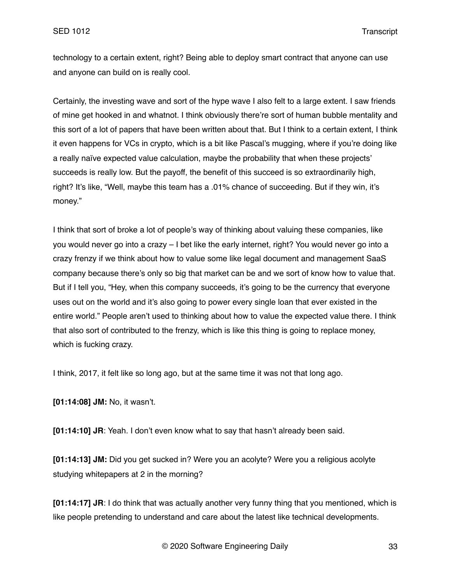technology to a certain extent, right? Being able to deploy smart contract that anyone can use and anyone can build on is really cool.

Certainly, the investing wave and sort of the hype wave I also felt to a large extent. I saw friends of mine get hooked in and whatnot. I think obviously there're sort of human bubble mentality and this sort of a lot of papers that have been written about that. But I think to a certain extent, I think it even happens for VCs in crypto, which is a bit like Pascal's mugging, where if you're doing like a really naïve expected value calculation, maybe the probability that when these projects' succeeds is really low. But the payoff, the benefit of this succeed is so extraordinarily high, right? It's like, "Well, maybe this team has a .01% chance of succeeding. But if they win, it's money."

I think that sort of broke a lot of people's way of thinking about valuing these companies, like you would never go into a crazy – I bet like the early internet, right? You would never go into a crazy frenzy if we think about how to value some like legal document and management SaaS company because there's only so big that market can be and we sort of know how to value that. But if I tell you, "Hey, when this company succeeds, it's going to be the currency that everyone uses out on the world and it's also going to power every single loan that ever existed in the entire world." People aren't used to thinking about how to value the expected value there. I think that also sort of contributed to the frenzy, which is like this thing is going to replace money, which is fucking crazy.

I think, 2017, it felt like so long ago, but at the same time it was not that long ago.

**[01:14:08] JM:** No, it wasn't.

**[01:14:10] JR**: Yeah. I don't even know what to say that hasn't already been said.

**[01:14:13] JM:** Did you get sucked in? Were you an acolyte? Were you a religious acolyte studying whitepapers at 2 in the morning?

**[01:14:17] JR**: I do think that was actually another very funny thing that you mentioned, which is like people pretending to understand and care about the latest like technical developments.

© 2020 Software Engineering Daily 33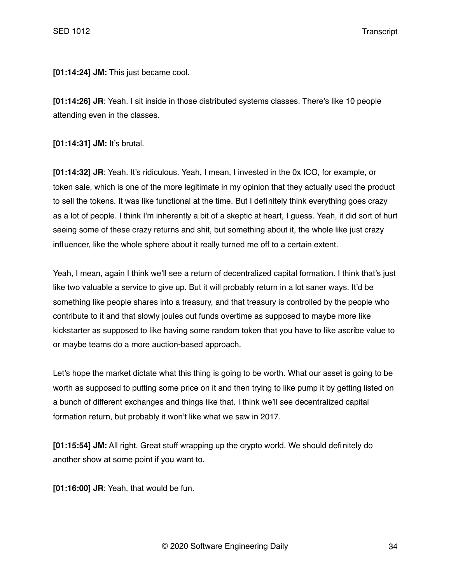**[01:14:24] JM:** This just became cool.

**[01:14:26] JR**: Yeah. I sit inside in those distributed systems classes. There's like 10 people attending even in the classes.

**[01:14:31] JM:** It's brutal.

**[01:14:32] JR**: Yeah. It's ridiculous. Yeah, I mean, I invested in the 0x ICO, for example, or token sale, which is one of the more legitimate in my opinion that they actually used the product to sell the tokens. It was like functional at the time. But I definitely think everything goes crazy as a lot of people. I think I'm inherently a bit of a skeptic at heart, I guess. Yeah, it did sort of hurt seeing some of these crazy returns and shit, but something about it, the whole like just crazy influencer, like the whole sphere about it really turned me off to a certain extent.

Yeah, I mean, again I think we'll see a return of decentralized capital formation. I think that's just like two valuable a service to give up. But it will probably return in a lot saner ways. It'd be something like people shares into a treasury, and that treasury is controlled by the people who contribute to it and that slowly joules out funds overtime as supposed to maybe more like kickstarter as supposed to like having some random token that you have to like ascribe value to or maybe teams do a more auction-based approach.

Let's hope the market dictate what this thing is going to be worth. What our asset is going to be worth as supposed to putting some price on it and then trying to like pump it by getting listed on a bunch of different exchanges and things like that. I think we'll see decentralized capital formation return, but probably it won't like what we saw in 2017.

**[01:15:54] JM:** All right. Great stuff wrapping up the crypto world. We should definitely do another show at some point if you want to.

**[01:16:00] JR**: Yeah, that would be fun.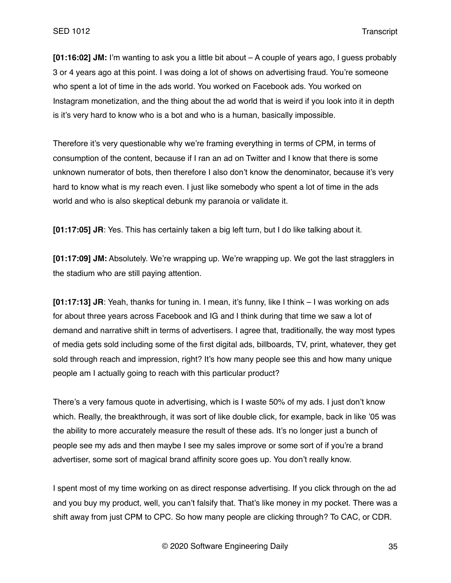**[01:16:02] JM:** I'm wanting to ask you a little bit about – A couple of years ago, I guess probably 3 or 4 years ago at this point. I was doing a lot of shows on advertising fraud. You're someone who spent a lot of time in the ads world. You worked on Facebook ads. You worked on Instagram monetization, and the thing about the ad world that is weird if you look into it in depth is it's very hard to know who is a bot and who is a human, basically impossible.

Therefore it's very questionable why we're framing everything in terms of CPM, in terms of consumption of the content, because if I ran an ad on Twitter and I know that there is some unknown numerator of bots, then therefore I also don't know the denominator, because it's very hard to know what is my reach even. I just like somebody who spent a lot of time in the ads world and who is also skeptical debunk my paranoia or validate it.

**[01:17:05] JR**: Yes. This has certainly taken a big left turn, but I do like talking about it.

**[01:17:09] JM:** Absolutely. We're wrapping up. We're wrapping up. We got the last stragglers in the stadium who are still paying attention.

**[01:17:13] JR**: Yeah, thanks for tuning in. I mean, it's funny, like I think – I was working on ads for about three years across Facebook and IG and I think during that time we saw a lot of demand and narrative shift in terms of advertisers. I agree that, traditionally, the way most types of media gets sold including some of the first digital ads, billboards, TV, print, whatever, they get sold through reach and impression, right? It's how many people see this and how many unique people am I actually going to reach with this particular product?

There's a very famous quote in advertising, which is I waste 50% of my ads. I just don't know which. Really, the breakthrough, it was sort of like double click, for example, back in like '05 was the ability to more accurately measure the result of these ads. It's no longer just a bunch of people see my ads and then maybe I see my sales improve or some sort of if you're a brand advertiser, some sort of magical brand affinity score goes up. You don't really know.

I spent most of my time working on as direct response advertising. If you click through on the ad and you buy my product, well, you can't falsify that. That's like money in my pocket. There was a shift away from just CPM to CPC. So how many people are clicking through? To CAC, or CDR.

© 2020 Software Engineering Daily 35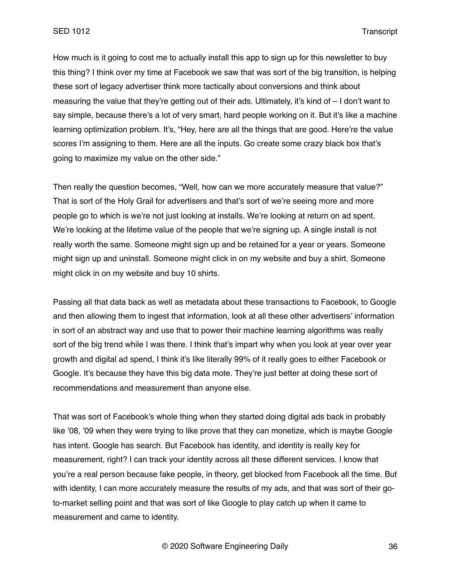How much is it going to cost me to actually install this app to sign up for this newsletter to buy this thing? I think over my time at Facebook we saw that was sort of the big transition, is helping these sort of legacy advertiser think more tactically about conversions and think about measuring the value that they're getting out of their ads. Ultimately, it's kind of – I don't want to say simple, because there's a lot of very smart, hard people working on it. But it's like a machine learning optimization problem. It's, "Hey, here are all the things that are good. Here're the value scores I'm assigning to them. Here are all the inputs. Go create some crazy black box that's going to maximize my value on the other side."

Then really the question becomes, "Well, how can we more accurately measure that value?" That is sort of the Holy Grail for advertisers and that's sort of we're seeing more and more people go to which is we're not just looking at installs. We're looking at return on ad spent. We're looking at the lifetime value of the people that we're signing up. A single install is not really worth the same. Someone might sign up and be retained for a year or years. Someone might sign up and uninstall. Someone might click in on my website and buy a shirt. Someone might click in on my website and buy 10 shirts.

Passing all that data back as well as metadata about these transactions to Facebook, to Google and then allowing them to ingest that information, look at all these other advertisers' information in sort of an abstract way and use that to power their machine learning algorithms was really sort of the big trend while I was there. I think that's impart why when you look at year over year growth and digital ad spend, I think it's like literally 99% of it really goes to either Facebook or Google. It's because they have this big data mote. They're just better at doing these sort of recommendations and measurement than anyone else.

That was sort of Facebook's whole thing when they started doing digital ads back in probably like '08, '09 when they were trying to like prove that they can monetize, which is maybe Google has intent. Google has search. But Facebook has identity, and identity is really key for measurement, right? I can track your identity across all these different services. I know that you're a real person because fake people, in theory, get blocked from Facebook all the time. But with identity, I can more accurately measure the results of my ads, and that was sort of their goto-market selling point and that was sort of like Google to play catch up when it came to measurement and came to identity.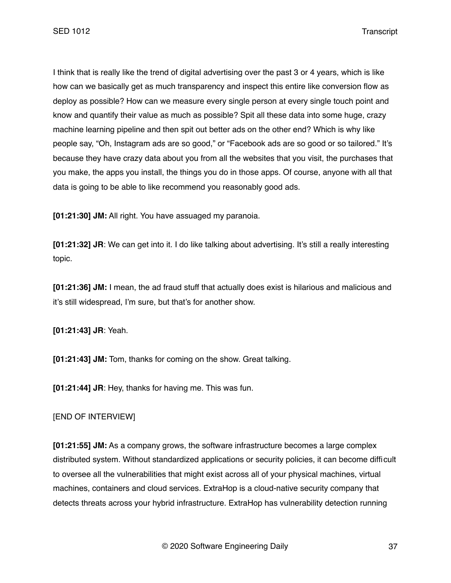I think that is really like the trend of digital advertising over the past 3 or 4 years, which is like how can we basically get as much transparency and inspect this entire like conversion flow as deploy as possible? How can we measure every single person at every single touch point and know and quantify their value as much as possible? Spit all these data into some huge, crazy machine learning pipeline and then spit out better ads on the other end? Which is why like people say, "Oh, Instagram ads are so good," or "Facebook ads are so good or so tailored." It's because they have crazy data about you from all the websites that you visit, the purchases that you make, the apps you install, the things you do in those apps. Of course, anyone with all that data is going to be able to like recommend you reasonably good ads.

**[01:21:30] JM:** All right. You have assuaged my paranoia.

**[01:21:32] JR**: We can get into it. I do like talking about advertising. It's still a really interesting topic.

**[01:21:36] JM:** I mean, the ad fraud stuff that actually does exist is hilarious and malicious and it's still widespread, I'm sure, but that's for another show.

**[01:21:43] JR**: Yeah.

**[01:21:43] JM:** Tom, thanks for coming on the show. Great talking.

**[01:21:44] JR**: Hey, thanks for having me. This was fun.

[END OF INTERVIEW]

**[01:21:55] JM:** As a company grows, the software infrastructure becomes a large complex distributed system. Without standardized applications or security policies, it can become difficult to oversee all the vulnerabilities that might exist across all of your physical machines, virtual machines, containers and cloud services. ExtraHop is a cloud-native security company that detects threats across your hybrid infrastructure. ExtraHop has vulnerability detection running